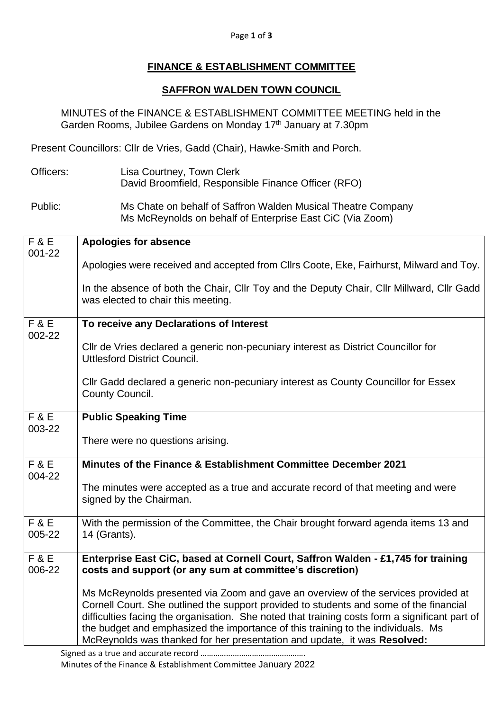## Page **1** of **3**

## **FINANCE & ESTABLISHMENT COMMITTEE**

## **SAFFRON WALDEN TOWN COUNCIL**

MINUTES of the FINANCE & ESTABLISHMENT COMMITTEE MEETING held in the Garden Rooms, Jubilee Gardens on Monday 17<sup>th</sup> January at 7.30pm

Present Councillors: Cllr de Vries, Gadd (Chair), Hawke-Smith and Porch.

- Officers: Lisa Courtney, Town Clerk David Broomfield, Responsible Finance Officer (RFO)
- Public: Ms Chate on behalf of Saffron Walden Musical Theatre Company Ms McReynolds on behalf of Enterprise East CiC (Via Zoom)

| F&E                      | <b>Apologies for absence</b>                                                                                                                                                                                                                                                                                                                                                                                                                  |
|--------------------------|-----------------------------------------------------------------------------------------------------------------------------------------------------------------------------------------------------------------------------------------------------------------------------------------------------------------------------------------------------------------------------------------------------------------------------------------------|
| 001-22                   | Apologies were received and accepted from Cllrs Coote, Eke, Fairhurst, Milward and Toy.                                                                                                                                                                                                                                                                                                                                                       |
|                          | In the absence of both the Chair, Cllr Toy and the Deputy Chair, Cllr Millward, Cllr Gadd<br>was elected to chair this meeting.                                                                                                                                                                                                                                                                                                               |
| <b>F&amp;E</b><br>002-22 | To receive any Declarations of Interest                                                                                                                                                                                                                                                                                                                                                                                                       |
|                          | Cllr de Vries declared a generic non-pecuniary interest as District Councillor for<br><b>Uttlesford District Council.</b>                                                                                                                                                                                                                                                                                                                     |
|                          | CIIr Gadd declared a generic non-pecuniary interest as County Councillor for Essex<br>County Council.                                                                                                                                                                                                                                                                                                                                         |
| <b>F&amp;E</b><br>003-22 | <b>Public Speaking Time</b>                                                                                                                                                                                                                                                                                                                                                                                                                   |
|                          | There were no questions arising.                                                                                                                                                                                                                                                                                                                                                                                                              |
| <b>F&amp;E</b><br>004-22 | Minutes of the Finance & Establishment Committee December 2021                                                                                                                                                                                                                                                                                                                                                                                |
|                          | The minutes were accepted as a true and accurate record of that meeting and were<br>signed by the Chairman.                                                                                                                                                                                                                                                                                                                                   |
| <b>F&amp;E</b><br>005-22 | With the permission of the Committee, the Chair brought forward agenda items 13 and<br>14 (Grants).                                                                                                                                                                                                                                                                                                                                           |
| <b>F&amp;E</b><br>006-22 | Enterprise East CiC, based at Cornell Court, Saffron Walden - £1,745 for training<br>costs and support (or any sum at committee's discretion)                                                                                                                                                                                                                                                                                                 |
|                          | Ms McReynolds presented via Zoom and gave an overview of the services provided at<br>Cornell Court. She outlined the support provided to students and some of the financial<br>difficulties facing the organisation. She noted that training costs form a significant part of<br>the budget and emphasized the importance of this training to the individuals. Ms<br>McReynolds was thanked for her presentation and update, it was Resolved: |
|                          |                                                                                                                                                                                                                                                                                                                                                                                                                                               |

Minutes of the Finance & Establishment Committee January 2022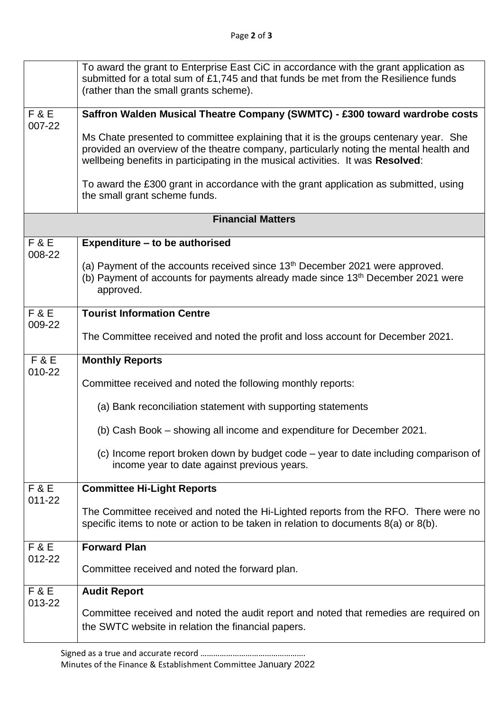|                          | To award the grant to Enterprise East CiC in accordance with the grant application as<br>submitted for a total sum of £1,745 and that funds be met from the Resilience funds<br>(rather than the small grants scheme).                                            |  |
|--------------------------|-------------------------------------------------------------------------------------------------------------------------------------------------------------------------------------------------------------------------------------------------------------------|--|
| <b>F&amp;E</b><br>007-22 | Saffron Walden Musical Theatre Company (SWMTC) - £300 toward wardrobe costs                                                                                                                                                                                       |  |
|                          | Ms Chate presented to committee explaining that it is the groups centenary year. She<br>provided an overview of the theatre company, particularly noting the mental health and<br>wellbeing benefits in participating in the musical activities. It was Resolved: |  |
|                          | To award the £300 grant in accordance with the grant application as submitted, using<br>the small grant scheme funds.                                                                                                                                             |  |
| <b>Financial Matters</b> |                                                                                                                                                                                                                                                                   |  |
| F & E<br>008-22          | Expenditure - to be authorised                                                                                                                                                                                                                                    |  |
|                          | (a) Payment of the accounts received since 13 <sup>th</sup> December 2021 were approved.<br>(b) Payment of accounts for payments already made since 13 <sup>th</sup> December 2021 were<br>approved.                                                              |  |
| F & E<br>009-22          | <b>Tourist Information Centre</b>                                                                                                                                                                                                                                 |  |
|                          | The Committee received and noted the profit and loss account for December 2021.                                                                                                                                                                                   |  |
| <b>F&amp;E</b><br>010-22 | <b>Monthly Reports</b>                                                                                                                                                                                                                                            |  |
|                          | Committee received and noted the following monthly reports:                                                                                                                                                                                                       |  |
|                          | (a) Bank reconciliation statement with supporting statements                                                                                                                                                                                                      |  |
|                          | (b) Cash Book – showing all income and expenditure for December 2021.                                                                                                                                                                                             |  |
|                          | (c) Income report broken down by budget code – year to date including comparison of<br>income year to date against previous years.                                                                                                                                |  |
| <b>F&amp;E</b><br>011-22 | <b>Committee Hi-Light Reports</b>                                                                                                                                                                                                                                 |  |
|                          | The Committee received and noted the Hi-Lighted reports from the RFO. There were no<br>specific items to note or action to be taken in relation to documents 8(a) or 8(b).                                                                                        |  |
| <b>F&amp;E</b><br>012-22 | <b>Forward Plan</b>                                                                                                                                                                                                                                               |  |
|                          | Committee received and noted the forward plan.                                                                                                                                                                                                                    |  |
| <b>F&amp;E</b><br>013-22 | <b>Audit Report</b>                                                                                                                                                                                                                                               |  |
|                          | Committee received and noted the audit report and noted that remedies are required on<br>the SWTC website in relation the financial papers.                                                                                                                       |  |